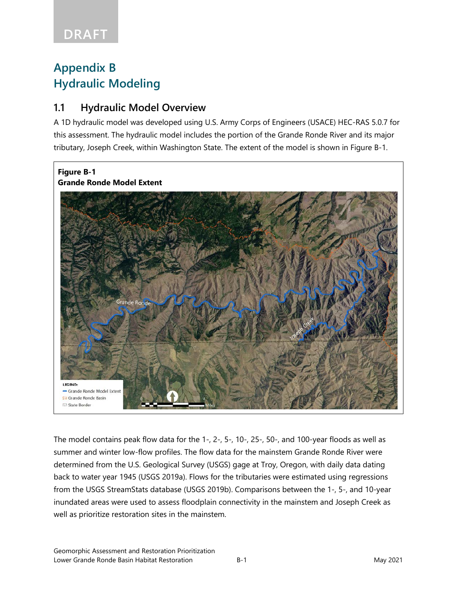**DRAFT**

# **Appendix B Hydraulic Modeling**

### **1.1 Hydraulic Model Overview**

A 1D hydraulic model was developed using U.S. Army Corps of Engineers (USACE) HEC-RAS 5.0.7 for this assessment. The hydraulic model includes the portion of the Grande Ronde River and its major tributary, Joseph Creek, within Washington State. The extent of the model is shown in Figure B-1.



The model contains peak flow data for the 1-, 2-, 5-, 10-, 25-, 50-, and 100-year floods as well as summer and winter low-flow profiles. The flow data for the mainstem Grande Ronde River were determined from the U.S. Geological Survey (USGS) gage at Troy, Oregon, with daily data dating back to water year 1945 (USGS 2019a). Flows for the tributaries were estimated using regressions from the USGS StreamStats database (USGS 2019b). Comparisons between the 1-, 5-, and 10-year inundated areas were used to assess floodplain connectivity in the mainstem and Joseph Creek as well as prioritize restoration sites in the mainstem.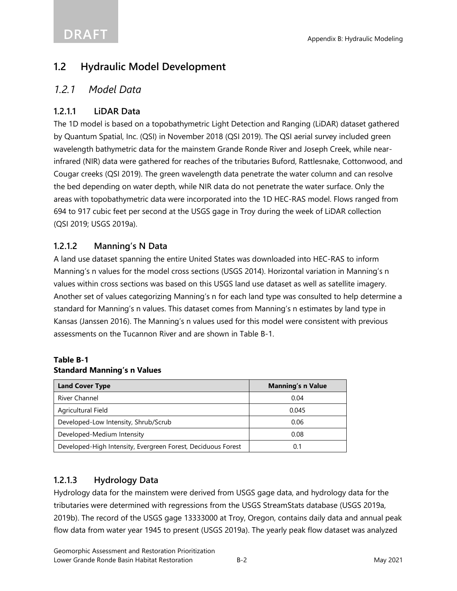### **1.2 Hydraulic Model Development**

#### *1.2.1 Model Data*

#### **1.2.1.1 LiDAR Data**

The 1D model is based on a topobathymetric Light Detection and Ranging (LiDAR) dataset gathered by Quantum Spatial, Inc. (QSI) in November 2018 (QSI 2019). The QSI aerial survey included green wavelength bathymetric data for the mainstem Grande Ronde River and Joseph Creek, while nearinfrared (NIR) data were gathered for reaches of the tributaries Buford, Rattlesnake, Cottonwood, and Cougar creeks (QSI 2019). The green wavelength data penetrate the water column and can resolve the bed depending on water depth, while NIR data do not penetrate the water surface. Only the areas with topobathymetric data were incorporated into the 1D HEC-RAS model. Flows ranged from 694 to 917 cubic feet per second at the USGS gage in Troy during the week of LiDAR collection (QSI 2019; USGS 2019a).

#### **1.2.1.2 Manning's N Data**

A land use dataset spanning the entire United States was downloaded into HEC-RAS to inform Manning's n values for the model cross sections (USGS 2014). Horizontal variation in Manning's n values within cross sections was based on this USGS land use dataset as well as satellite imagery. Another set of values categorizing Manning's n for each land type was consulted to help determine a standard for Manning's n values. This dataset comes from Manning's n estimates by land type in Kansas (Janssen 2016). The Manning's n values used for this model were consistent with previous assessments on the Tucannon River and are shown in Table B-1.

#### **Table B-1 Standard Manning's n Values**

| <b>Land Cover Type</b>                                       | <b>Manning's n Value</b> |
|--------------------------------------------------------------|--------------------------|
| River Channel                                                | 0.04                     |
| Agricultural Field                                           | 0.045                    |
| Developed-Low Intensity, Shrub/Scrub                         | 0.06                     |
| Developed-Medium Intensity                                   | 0.08                     |
| Developed-High Intensity, Evergreen Forest, Deciduous Forest | 0.1                      |

#### **1.2.1.3 Hydrology Data**

Hydrology data for the mainstem were derived from USGS gage data, and hydrology data for the tributaries were determined with regressions from the USGS StreamStats database (USGS 2019a, 2019b). The record of the USGS gage 13333000 at Troy, Oregon, contains daily data and annual peak flow data from water year 1945 to present (USGS 2019a). The yearly peak flow dataset was analyzed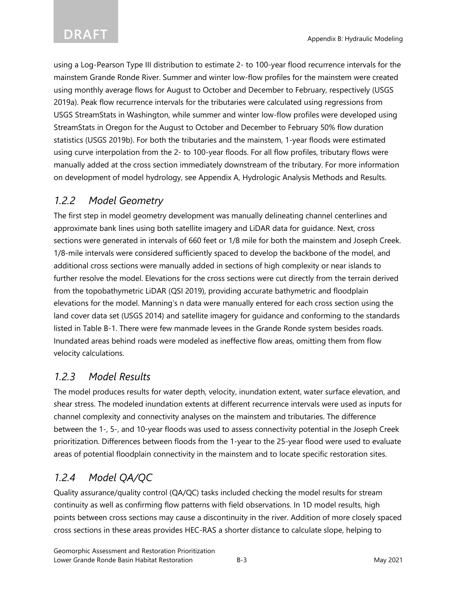using a Log-Pearson Type III distribution to estimate 2- to 100-year flood recurrence intervals for the mainstem Grande Ronde River. Summer and winter low-flow profiles for the mainstem were created using monthly average flows for August to October and December to February, respectively (USGS 2019a). Peak flow recurrence intervals for the tributaries were calculated using regressions from USGS StreamStats in Washington, while summer and winter low-flow profiles were developed using StreamStats in Oregon for the August to October and December to February 50% flow duration statistics (USGS 2019b). For both the tributaries and the mainstem, 1-year floods were estimated using curve interpolation from the 2- to 100-year floods. For all flow profiles, tributary flows were manually added at the cross section immediately downstream of the tributary. For more information on development of model hydrology, see Appendix A, Hydrologic Analysis Methods and Results.

## *1.2.2 Model Geometry*

The first step in model geometry development was manually delineating channel centerlines and approximate bank lines using both satellite imagery and LiDAR data for guidance. Next, cross sections were generated in intervals of 660 feet or 1/8 mile for both the mainstem and Joseph Creek. 1/8-mile intervals were considered sufficiently spaced to develop the backbone of the model, and additional cross sections were manually added in sections of high complexity or near islands to further resolve the model. Elevations for the cross sections were cut directly from the terrain derived from the topobathymetric LiDAR (QSI 2019), providing accurate bathymetric and floodplain elevations for the model. Manning's n data were manually entered for each cross section using the land cover data set (USGS 2014) and satellite imagery for guidance and conforming to the standards listed in Table B-1. There were few manmade levees in the Grande Ronde system besides roads. Inundated areas behind roads were modeled as ineffective flow areas, omitting them from flow velocity calculations.

## *1.2.3 Model Results*

The model produces results for water depth, velocity, inundation extent, water surface elevation, and shear stress. The modeled inundation extents at different recurrence intervals were used as inputs for channel complexity and connectivity analyses on the mainstem and tributaries. The difference between the 1-, 5-, and 10-year floods was used to assess connectivity potential in the Joseph Creek prioritization. Differences between floods from the 1-year to the 25-year flood were used to evaluate areas of potential floodplain connectivity in the mainstem and to locate specific restoration sites.

## *1.2.4 Model QA/QC*

Quality assurance/quality control (QA/QC) tasks included checking the model results for stream continuity as well as confirming flow patterns with field observations. In 1D model results, high points between cross sections may cause a discontinuity in the river. Addition of more closely spaced cross sections in these areas provides HEC-RAS a shorter distance to calculate slope, helping to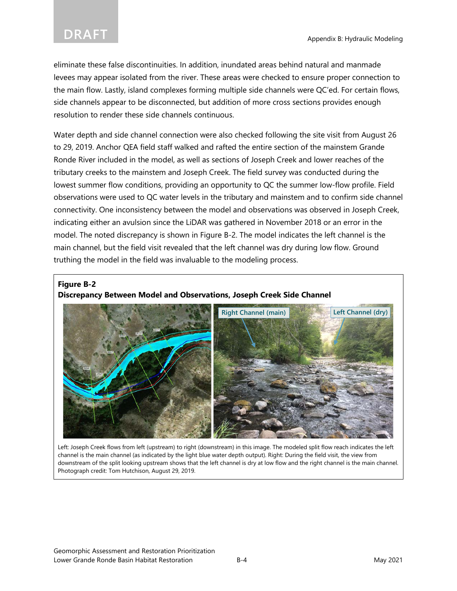eliminate these false discontinuities. In addition, inundated areas behind natural and manmade levees may appear isolated from the river. These areas were checked to ensure proper connection to the main flow. Lastly, island complexes forming multiple side channels were QC'ed. For certain flows, side channels appear to be disconnected, but addition of more cross sections provides enough resolution to render these side channels continuous.

Water depth and side channel connection were also checked following the site visit from August 26 to 29, 2019. Anchor QEA field staff walked and rafted the entire section of the mainstem Grande Ronde River included in the model, as well as sections of Joseph Creek and lower reaches of the tributary creeks to the mainstem and Joseph Creek. The field survey was conducted during the lowest summer flow conditions, providing an opportunity to QC the summer low-flow profile. Field observations were used to QC water levels in the tributary and mainstem and to confirm side channel connectivity. One inconsistency between the model and observations was observed in Joseph Creek, indicating either an avulsion since the LiDAR was gathered in November 2018 or an error in the model. The noted discrepancy is shown in Figure B-2. The model indicates the left channel is the main channel, but the field visit revealed that the left channel was dry during low flow. Ground truthing the model in the field was invaluable to the modeling process.

#### **Figure B-2**

**Discrepancy Between Model and Observations, Joseph Creek Side Channel**



Left: Joseph Creek flows from left (upstream) to right (downstream) in this image. The modeled split flow reach indicates the left channel is the main channel (as indicated by the light blue water depth output). Right: During the field visit, the view from downstream of the split looking upstream shows that the left channel is dry at low flow and the right channel is the main channel. Photograph credit: Tom Hutchison, August 29, 2019.